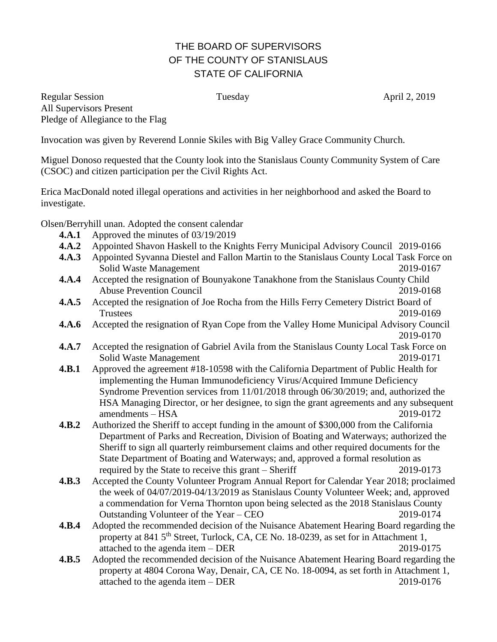## THE BOARD OF SUPERVISORS OF THE COUNTY OF STANISLAUS STATE OF CALIFORNIA

Regular Session **Tuesday April 2, 2019 April 2, 2019** All Supervisors Present Pledge of Allegiance to the Flag

Invocation was given by Reverend Lonnie Skiles with Big Valley Grace Community Church.

Miguel Donoso requested that the County look into the Stanislaus County Community System of Care (CSOC) and citizen participation per the Civil Rights Act.

Erica MacDonald noted illegal operations and activities in her neighborhood and asked the Board to investigate.

Olsen/Berryhill unan. Adopted the consent calendar

- **4.A.1** Approved the minutes of 03/19/2019
- **4.A.2** Appointed Shavon Haskell to the Knights Ferry Municipal Advisory Council 2019-0166
- **4.A.3** Appointed Syvanna Diestel and Fallon Martin to the Stanislaus County Local Task Force on Solid Waste Management 2019-0167
- **4.A.4** Accepted the resignation of Bounyakone Tanakhone from the Stanislaus County Child Abuse Prevention Council 2019-0168
- **4.A.5** Accepted the resignation of Joe Rocha from the Hills Ferry Cemetery District Board of Trustees 2019-0169
- **4.A.6** Accepted the resignation of Ryan Cope from the Valley Home Municipal Advisory Council 2019-0170
- **4.A.7** Accepted the resignation of Gabriel Avila from the Stanislaus County Local Task Force on Solid Waste Management 2019-0171
- **4.B.1** Approved the agreement #18-10598 with the California Department of Public Health for implementing the Human Immunodeficiency Virus/Acquired Immune Deficiency Syndrome Prevention services from 11/01/2018 through 06/30/2019; and, authorized the HSA Managing Director, or her designee, to sign the grant agreements and any subsequent amendments – HSA 2019-0172
- **4.B.2** Authorized the Sheriff to accept funding in the amount of \$300,000 from the California Department of Parks and Recreation, Division of Boating and Waterways; authorized the Sheriff to sign all quarterly reimbursement claims and other required documents for the State Department of Boating and Waterways; and, approved a formal resolution as required by the State to receive this grant – Sheriff 2019-0173
- **4.B.3** Accepted the County Volunteer Program Annual Report for Calendar Year 2018; proclaimed the week of 04/07/2019-04/13/2019 as Stanislaus County Volunteer Week; and, approved a commendation for Verna Thornton upon being selected as the 2018 Stanislaus County Outstanding Volunteer of the Year – CEO 2019-0174
- **4.B.4** Adopted the recommended decision of the Nuisance Abatement Hearing Board regarding the property at 841 5<sup>th</sup> Street, Turlock, CA, CE No. 18-0239, as set for in Attachment 1, attached to the agenda item – DER 2019-0175
- **4.B.5** Adopted the recommended decision of the Nuisance Abatement Hearing Board regarding the property at 4804 Corona Way, Denair, CA, CE No. 18-0094, as set forth in Attachment 1, attached to the agenda item – DER 2019-0176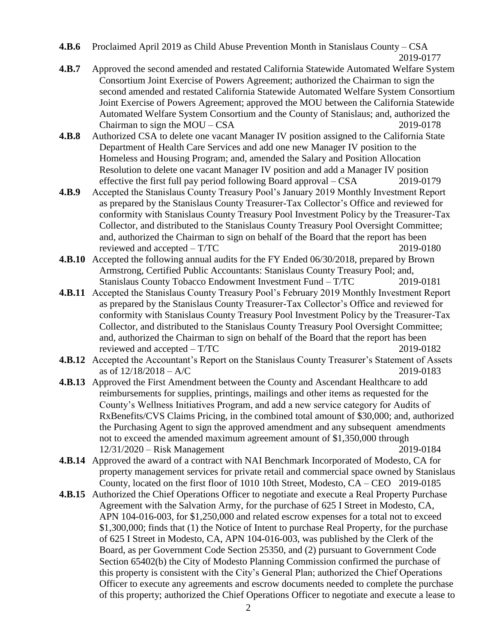**4.B.6** Proclaimed April 2019 as Child Abuse Prevention Month in Stanislaus County – CSA 2019-0177

- **4.B.7** Approved the second amended and restated California Statewide Automated Welfare System Consortium Joint Exercise of Powers Agreement; authorized the Chairman to sign the second amended and restated California Statewide Automated Welfare System Consortium Joint Exercise of Powers Agreement; approved the MOU between the California Statewide Automated Welfare System Consortium and the County of Stanislaus; and, authorized the Chairman to sign the MOU – CSA 2019-0178
- **4.B.8** Authorized CSA to delete one vacant Manager IV position assigned to the California State Department of Health Care Services and add one new Manager IV position to the Homeless and Housing Program; and, amended the Salary and Position Allocation Resolution to delete one vacant Manager IV position and add a Manager IV position effective the first full pay period following Board approval – CSA 2019-0179
- **4.B.9** Accepted the Stanislaus County Treasury Pool's January 2019 Monthly Investment Report as prepared by the Stanislaus County Treasurer-Tax Collector's Office and reviewed for conformity with Stanislaus County Treasury Pool Investment Policy by the Treasurer-Tax Collector, and distributed to the Stanislaus County Treasury Pool Oversight Committee; and, authorized the Chairman to sign on behalf of the Board that the report has been reviewed and accepted – T/TC 2019-0180
- **4.B.10** Accepted the following annual audits for the FY Ended 06/30/2018, prepared by Brown Armstrong, Certified Public Accountants: Stanislaus County Treasury Pool; and, Stanislaus County Tobacco Endowment Investment Fund – T/TC 2019-0181
- **4.B.11** Accepted the Stanislaus County Treasury Pool's February 2019 Monthly Investment Report as prepared by the Stanislaus County Treasurer-Tax Collector's Office and reviewed for conformity with Stanislaus County Treasury Pool Investment Policy by the Treasurer-Tax Collector, and distributed to the Stanislaus County Treasury Pool Oversight Committee; and, authorized the Chairman to sign on behalf of the Board that the report has been reviewed and accepted – T/TC 2019-0182
- **4.B.12** Accepted the Accountant's Report on the Stanislaus County Treasurer's Statement of Assets as of  $12/18/2018 - A/C$  2019-0183
- **4.B.13** Approved the First Amendment between the County and Ascendant Healthcare to add reimbursements for supplies, printings, mailings and other items as requested for the County's Wellness Initiatives Program, and add a new service category for Audits of RxBenefits/CVS Claims Pricing, in the combined total amount of \$30,000; and, authorized the Purchasing Agent to sign the approved amendment and any subsequent amendments not to exceed the amended maximum agreement amount of \$1,350,000 through 12/31/2020 – Risk Management 2019-0184
- **4.B.14** Approved the award of a contract with NAI Benchmark Incorporated of Modesto, CA for property management services for private retail and commercial space owned by Stanislaus County, located on the first floor of 1010 10th Street, Modesto, CA – CEO 2019-0185
- **4.B.15** Authorized the Chief Operations Officer to negotiate and execute a Real Property Purchase Agreement with the Salvation Army, for the purchase of 625 I Street in Modesto, CA, APN 104-016-003, for \$1,250,000 and related escrow expenses for a total not to exceed \$1,300,000; finds that (1) the Notice of Intent to purchase Real Property, for the purchase of 625 I Street in Modesto, CA, APN 104-016-003, was published by the Clerk of the Board, as per Government Code Section 25350, and (2) pursuant to Government Code Section 65402(b) the City of Modesto Planning Commission confirmed the purchase of this property is consistent with the City's General Plan; authorized the Chief Operations Officer to execute any agreements and escrow documents needed to complete the purchase of this property; authorized the Chief Operations Officer to negotiate and execute a lease to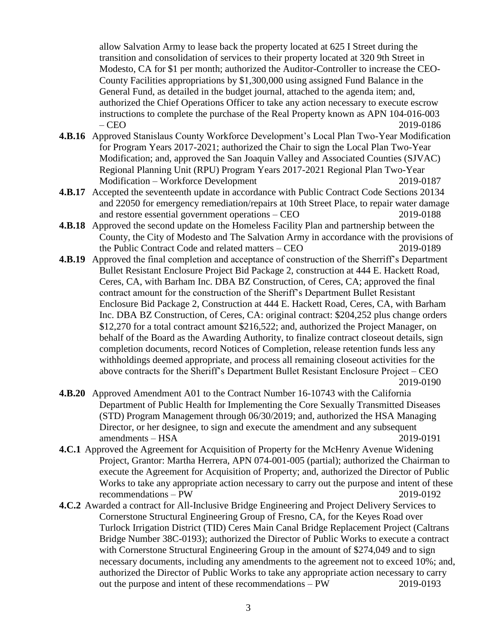allow Salvation Army to lease back the property located at 625 I Street during the transition and consolidation of services to their property located at 320 9th Street in Modesto, CA for \$1 per month; authorized the Auditor-Controller to increase the CEO-County Facilities appropriations by \$1,300,000 using assigned Fund Balance in the General Fund, as detailed in the budget journal, attached to the agenda item; and, authorized the Chief Operations Officer to take any action necessary to execute escrow instructions to complete the purchase of the Real Property known as APN 104-016-003 – CEO2019-0186

- **4.B.16** Approved Stanislaus County Workforce Development's Local Plan Two-Year Modification for Program Years 2017-2021; authorized the Chair to sign the Local Plan Two-Year Modification; and, approved the San Joaquin Valley and Associated Counties (SJVAC) Regional Planning Unit (RPU) Program Years 2017-2021 Regional Plan Two-Year Modification – Workforce Development 2019-0187
- **4.B.17** Accepted the seventeenth update in accordance with Public Contract Code Sections 20134 and 22050 for emergency remediation/repairs at 10th Street Place, to repair water damage and restore essential government operations – CEO 2019-0188
- **4.B.18** Approved the second update on the Homeless Facility Plan and partnership between the County, the City of Modesto and The Salvation Army in accordance with the provisions of the Public Contract Code and related matters – CEO 2019-0189
- **4.B.19** Approved the final completion and acceptance of construction of the Sherriff's Department Bullet Resistant Enclosure Project Bid Package 2, construction at 444 E. Hackett Road, Ceres, CA, with Barham Inc. DBA BZ Construction, of Ceres, CA; approved the final contract amount for the construction of the Sheriff's Department Bullet Resistant Enclosure Bid Package 2, Construction at 444 E. Hackett Road, Ceres, CA, with Barham Inc. DBA BZ Construction, of Ceres, CA: original contract: \$204,252 plus change orders \$12,270 for a total contract amount \$216,522; and, authorized the Project Manager, on behalf of the Board as the Awarding Authority, to finalize contract closeout details, sign completion documents, record Notices of Completion, release retention funds less any withholdings deemed appropriate, and process all remaining closeout activities for the above contracts for the Sheriff's Department Bullet Resistant Enclosure Project – CEO 2019-0190
- **4.B.20** Approved Amendment A01 to the Contract Number 16-10743 with the California Department of Public Health for Implementing the Core Sexually Transmitted Diseases (STD) Program Management through 06/30/2019; and, authorized the HSA Managing Director, or her designee, to sign and execute the amendment and any subsequent amendments – HSA 2019-0191
- **4.C.1** Approved the Agreement for Acquisition of Property for the McHenry Avenue Widening Project, Grantor: Martha Herrera, APN 074-001-005 (partial); authorized the Chairman to execute the Agreement for Acquisition of Property; and, authorized the Director of Public Works to take any appropriate action necessary to carry out the purpose and intent of these recommendations – PW 2019-0192
- **4.C.2** Awarded a contract for All-Inclusive Bridge Engineering and Project Delivery Services to Cornerstone Structural Engineering Group of Fresno, CA, for the Keyes Road over Turlock Irrigation District (TID) Ceres Main Canal Bridge Replacement Project (Caltrans Bridge Number 38C-0193); authorized the Director of Public Works to execute a contract with Cornerstone Structural Engineering Group in the amount of \$274,049 and to sign necessary documents, including any amendments to the agreement not to exceed 10%; and, authorized the Director of Public Works to take any appropriate action necessary to carry out the purpose and intent of these recommendations – PW 2019-0193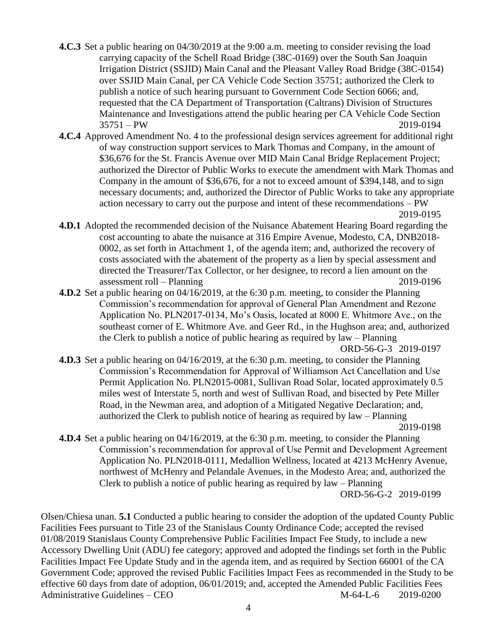- **4.C.3** Set a public hearing on 04/30/2019 at the 9:00 a.m. meeting to consider revising the load carrying capacity of the Schell Road Bridge (38C-0169) over the South San Joaquin Irrigation District (SSJID) Main Canal and the Pleasant Valley Road Bridge (38C-0154) over SSJID Main Canal, per CA Vehicle Code Section 35751; authorized the Clerk to publish a notice of such hearing pursuant to Government Code Section 6066; and, requested that the CA Department of Transportation (Caltrans) Division of Structures Maintenance and Investigations attend the public hearing per CA Vehicle Code Section 35751 – PW 2019-0194
- **4.C.4** Approved Amendment No. 4 to the professional design services agreement for additional right of way construction support services to Mark Thomas and Company, in the amount of \$36,676 for the St. Francis Avenue over MID Main Canal Bridge Replacement Project; authorized the Director of Public Works to execute the amendment with Mark Thomas and Company in the amount of \$36,676, for a not to exceed amount of \$394,148, and to sign necessary documents; and, authorized the Director of Public Works to take any appropriate action necessary to carry out the purpose and intent of these recommendations – PW 2019-0195
- **4.D.1** Adopted the recommended decision of the Nuisance Abatement Hearing Board regarding the cost accounting to abate the nuisance at 316 Empire Avenue, Modesto, CA, DNB2018- 0002, as set forth in Attachment 1, of the agenda item; and, authorized the recovery of costs associated with the abatement of the property as a lien by special assessment and directed the Treasurer/Tax Collector, or her designee, to record a lien amount on the assessment roll – Planning 2019-0196
- **4.D.2** Set a public hearing on 04/16/2019, at the 6:30 p.m. meeting, to consider the Planning Commission's recommendation for approval of General Plan Amendment and Rezone Application No. PLN2017-0134, Mo's Oasis, located at 8000 E. Whitmore Ave., on the southeast corner of E. Whitmore Ave. and Geer Rd., in the Hughson area; and, authorized the Clerk to publish a notice of public hearing as required by law – Planning

ORD-56-G-3 2019-0197

**4.D.3** Set a public hearing on 04/16/2019, at the 6:30 p.m. meeting, to consider the Planning Commission's Recommendation for Approval of Williamson Act Cancellation and Use Permit Application No. PLN2015-0081, Sullivan Road Solar, located approximately 0.5 miles west of Interstate 5, north and west of Sullivan Road, and bisected by Pete Miller Road, in the Newman area, and adoption of a Mitigated Negative Declaration; and, authorized the Clerk to publish notice of hearing as required by law – Planning

2019-0198

**4.D.4** Set a public hearing on 04/16/2019, at the 6:30 p.m. meeting, to consider the Planning Commission's recommendation for approval of Use Permit and Development Agreement Application No. PLN2018-0111, Medallion Wellness, located at 4213 McHenry Avenue, northwest of McHenry and Pelandale Avenues, in the Modesto Area; and, authorized the Clerk to publish a notice of public hearing as required by law – Planning ORD-56-G-2 2019-0199

Olsen/Chiesa unan. **5.1** Conducted a public hearing to consider the adoption of the updated County Public Facilities Fees pursuant to Title 23 of the Stanislaus County Ordinance Code; accepted the revised 01/08/2019 Stanislaus County Comprehensive Public Facilities Impact Fee Study, to include a new Accessory Dwelling Unit (ADU) fee category; approved and adopted the findings set forth in the Public Facilities Impact Fee Update Study and in the agenda item, and as required by Section 66001 of the CA Government Code; approved the revised Public Facilities Impact Fees as recommended in the Study to be effective 60 days from date of adoption, 06/01/2019; and, accepted the Amended Public Facilities Fees Administrative Guidelines – CEO M-64-L-6 2019-0200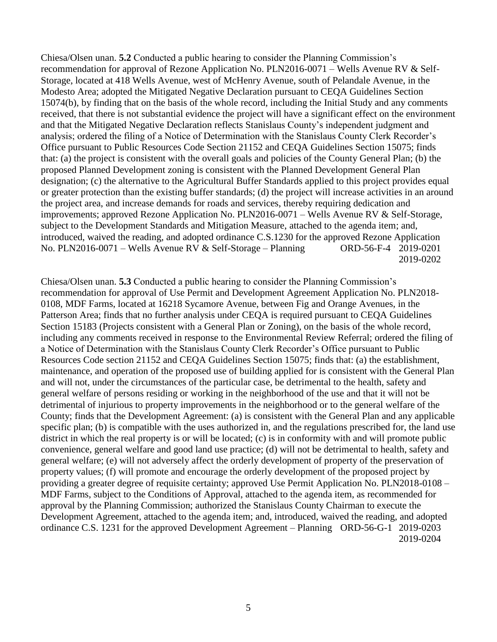Chiesa/Olsen unan. **5.2** Conducted a public hearing to consider the Planning Commission's recommendation for approval of Rezone Application No. PLN2016-0071 – Wells Avenue RV & Self-Storage, located at 418 Wells Avenue, west of McHenry Avenue, south of Pelandale Avenue, in the Modesto Area; adopted the Mitigated Negative Declaration pursuant to CEQA Guidelines Section 15074(b), by finding that on the basis of the whole record, including the Initial Study and any comments received, that there is not substantial evidence the project will have a significant effect on the environment and that the Mitigated Negative Declaration reflects Stanislaus County's independent judgment and analysis; ordered the filing of a Notice of Determination with the Stanislaus County Clerk Recorder's Office pursuant to Public Resources Code Section 21152 and CEQA Guidelines Section 15075; finds that: (a) the project is consistent with the overall goals and policies of the County General Plan; (b) the proposed Planned Development zoning is consistent with the Planned Development General Plan designation; (c) the alternative to the Agricultural Buffer Standards applied to this project provides equal or greater protection than the existing buffer standards; (d) the project will increase activities in an around the project area, and increase demands for roads and services, thereby requiring dedication and improvements; approved Rezone Application No. PLN2016-0071 – Wells Avenue RV & Self-Storage, subject to the Development Standards and Mitigation Measure, attached to the agenda item; and, introduced, waived the reading, and adopted ordinance C.S.1230 for the approved Rezone Application No. PLN2016-0071 – Wells Avenue RV & Self-Storage – Planning ORD-56-F-4 2019-0201 2019-0202

Chiesa/Olsen unan. **5.3** Conducted a public hearing to consider the Planning Commission's recommendation for approval of Use Permit and Development Agreement Application No. PLN2018- 0108, MDF Farms, located at 16218 Sycamore Avenue, between Fig and Orange Avenues, in the Patterson Area; finds that no further analysis under CEQA is required pursuant to CEQA Guidelines Section 15183 (Projects consistent with a General Plan or Zoning), on the basis of the whole record, including any comments received in response to the Environmental Review Referral; ordered the filing of a Notice of Determination with the Stanislaus County Clerk Recorder's Office pursuant to Public Resources Code section 21152 and CEQA Guidelines Section 15075; finds that: (a) the establishment, maintenance, and operation of the proposed use of building applied for is consistent with the General Plan and will not, under the circumstances of the particular case, be detrimental to the health, safety and general welfare of persons residing or working in the neighborhood of the use and that it will not be detrimental of injurious to property improvements in the neighborhood or to the general welfare of the County; finds that the Development Agreement: (a) is consistent with the General Plan and any applicable specific plan; (b) is compatible with the uses authorized in, and the regulations prescribed for, the land use district in which the real property is or will be located; (c) is in conformity with and will promote public convenience, general welfare and good land use practice; (d) will not be detrimental to health, safety and general welfare; (e) will not adversely affect the orderly development of property of the preservation of property values; (f) will promote and encourage the orderly development of the proposed project by providing a greater degree of requisite certainty; approved Use Permit Application No. PLN2018-0108 – MDF Farms, subject to the Conditions of Approval, attached to the agenda item, as recommended for approval by the Planning Commission; authorized the Stanislaus County Chairman to execute the Development Agreement, attached to the agenda item; and, introduced, waived the reading, and adopted ordinance C.S. 1231 for the approved Development Agreement – Planning ORD-56-G-1 2019-0203 2019-0204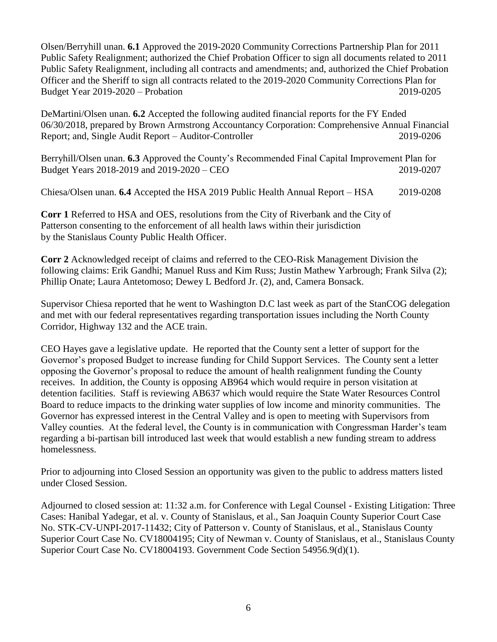Olsen/Berryhill unan. **6.1** Approved the 2019-2020 Community Corrections Partnership Plan for 2011 Public Safety Realignment; authorized the Chief Probation Officer to sign all documents related to 2011 Public Safety Realignment, including all contracts and amendments; and, authorized the Chief Probation Officer and the Sheriff to sign all contracts related to the 2019-2020 Community Corrections Plan for Budget Year 2019-2020 – Probation 2019-0205

DeMartini/Olsen unan. **6.2** Accepted the following audited financial reports for the FY Ended 06/30/2018, prepared by Brown Armstrong Accountancy Corporation: Comprehensive Annual Financial Report; and, Single Audit Report – Auditor-Controller 2019-0206

Berryhill/Olsen unan. **6.3** Approved the County's Recommended Final Capital Improvement Plan for Budget Years 2018-2019 and 2019-2020 – CEO 2019-0207

Chiesa/Olsen unan. **6.4** Accepted the HSA 2019 Public Health Annual Report – HSA 2019-0208

**Corr 1** Referred to HSA and OES, resolutions from the City of Riverbank and the City of Patterson consenting to the enforcement of all health laws within their jurisdiction by the Stanislaus County Public Health Officer.

**Corr 2** Acknowledged receipt of claims and referred to the CEO-Risk Management Division the following claims: Erik Gandhi; Manuel Russ and Kim Russ; Justin Mathew Yarbrough; Frank Silva (2); Phillip Onate; Laura Antetomoso; Dewey L Bedford Jr. (2), and, Camera Bonsack.

Supervisor Chiesa reported that he went to Washington D.C last week as part of the StanCOG delegation and met with our federal representatives regarding transportation issues including the North County Corridor, Highway 132 and the ACE train.

CEO Hayes gave a legislative update. He reported that the County sent a letter of support for the Governor's proposed Budget to increase funding for Child Support Services. The County sent a letter opposing the Governor's proposal to reduce the amount of health realignment funding the County receives. In addition, the County is opposing AB964 which would require in person visitation at detention facilities. Staff is reviewing AB637 which would require the State Water Resources Control Board to reduce impacts to the drinking water supplies of low income and minority communities. The Governor has expressed interest in the Central Valley and is open to meeting with Supervisors from Valley counties. At the federal level, the County is in communication with Congressman Harder's team regarding a bi-partisan bill introduced last week that would establish a new funding stream to address homelessness.

Prior to adjourning into Closed Session an opportunity was given to the public to address matters listed under Closed Session.

Adjourned to closed session at: 11:32 a.m. for Conference with Legal Counsel - Existing Litigation: Three Cases: Hanibal Yadegar, et al. v. County of Stanislaus, et al., San Joaquin County Superior Court Case No. STK-CV-UNPI-2017-11432; City of Patterson v. County of Stanislaus, et al., Stanislaus County Superior Court Case No. CV18004195; City of Newman v. County of Stanislaus, et al., Stanislaus County Superior Court Case No. CV18004193. Government Code Section 54956.9(d)(1).